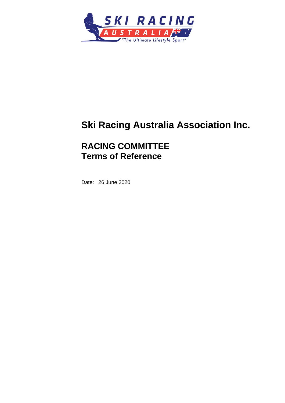

# **Ski Racing Australia Association Inc.**

# **RACING COMMITTEE Terms of Reference**

Date: 26 June 2020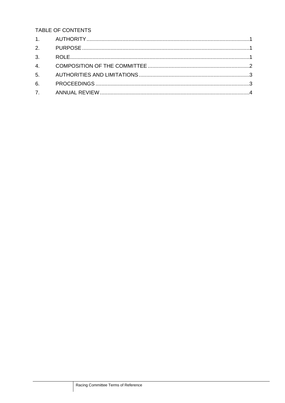TABLE OF CONTENTS

| 2. |  |
|----|--|
|    |  |
|    |  |
|    |  |
|    |  |
|    |  |
|    |  |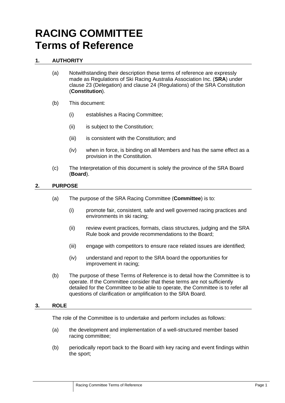# **RACING COMMITTEE Terms of Reference**

# <span id="page-2-0"></span>**1. AUTHORITY**

- (a) Notwithstanding their description these terms of reference are expressly made as Regulations of Ski Racing Australia Association Inc. (**SRA**) under clause 23 (Delegation) and clause 24 (Regulations) of the SRA Constitution (**Constitution**).
- (b) This document:
	- (i) establishes a Racing Committee;
	- (ii) is subject to the Constitution;
	- (iii) is consistent with the Constitution; and
	- (iv) when in force, is binding on all Members and has the same effect as a provision in the Constitution.
- (c) The Interpretation of this document is solely the province of the SRA Board (**Board**).

## <span id="page-2-1"></span>**2. PURPOSE**

- (a) The purpose of the SRA Racing Committee (**Committee**) is to:
	- (i) promote fair, consistent, safe and well governed racing practices and environments in ski racing;
	- (ii) review event practices, formats, class structures, judging and the SRA Rule book and provide recommendations to the Board;
	- (iii) engage with competitors to ensure race related issues are identified;
	- (iv) understand and report to the SRA board the opportunities for improvement in racing;
- (b) The purpose of these Terms of Reference is to detail how the Committee is to operate. If the Committee consider that these terms are not sufficiently detailed for the Committee to be able to operate, the Committee is to refer all questions of clarification or amplification to the SRA Board.

#### <span id="page-2-2"></span>**3. ROLE**

The role of the Committee is to undertake and perform includes as follows:

- (a) the development and implementation of a well-structured member based racing committee;
- (b) periodically report back to the Board with key racing and event findings within the sport;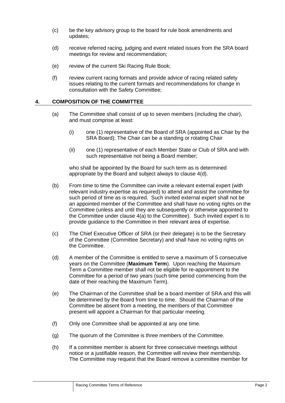- (c) be the key advisory group to the board for rule book amendments and updates;
- (d) receive referred racing, judging and event related issues from the SRA board meetings for review and recommendation;
- (e) review of the current Ski Racing Rule Book;
- (f) review current racing formats and provide advice of racing related safety issues relating to the current formats and recommendations for change in consultation with the Safety Committee;

#### <span id="page-3-0"></span>**4. COMPOSITION OF THE COMMITTEE**

- (a) The Committee shall consist of up to seven members (including the chair), and must comprise at least:
	- (i) one (1) representative of the Board of SRA (appointed as Chair by the SRA Board); The Chair can be a standing or rotating Chair
	- (ii) one (1) representative of each Member State or Club of SRA and with such representative not being a Board member;

who shall be appointed by the Board for such term as is determined appropriate by the Board and subject always to clause 4(d).

- (b) From time to time the Committee can invite a relevant external expert (with relevant industry expertise as required) to attend and assist the committee for such period of time as is required. Such invited external expert shall not be an appointed member of the Committee and shall have no voting rights on the Committee (unless and until they are subsequently or otherwise appointed to the Committee under clause 4(a) to the Committee). Such invited expert is to provide guidance to the Committee in their relevant area of expertise.
- (c) The Chief Executive Officer of SRA (or their delegate) is to be the Secretary of the Committee (Committee Secretary) and shall have no voting rights on the Committee.
- (d) A member of the Committee is entitled to serve a maximum of 5 consecutive years on the Committee (**Maximum Term**). Upon reaching the Maximum Term a Committee member shall not be eligible for re-appointment to the Committee for a period of two years (such time period commencing from the date of their reaching the Maximum Term).
- (e) The Chairman of the Committee shall be a board member of SRA and this will be determined by the Board from time to time. Should the Chairman of the Committee be absent from a meeting, the members of that Committee present will appoint a Chairman for that particular meeting.
- (f) Only one Committee shall be appointed at any one time.
- (g) The quorum of the Committee is three members of the Committee.
- (h) If a committee member is absent for three consecutive meetings without notice or a justifiable reason, the Committee will review their membership. The Committee may request that the Board remove a committee member for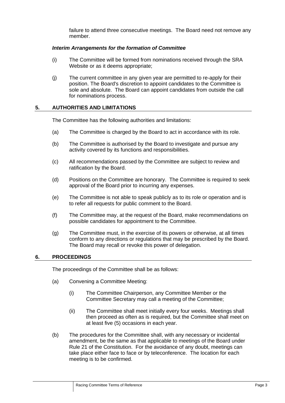failure to attend three consecutive meetings. The Board need not remove any member.

#### *Interim Arrangements for the formation of Committee*

- (i) The Committee will be formed from nominations received through the SRA Website or as it deems appropriate;
- (j) The current committee in any given year are permitted to re-apply for their position. The Board's discretion to appoint candidates to the Committee is sole and absolute. The Board can appoint candidates from outside the call for nominations process.

### <span id="page-4-0"></span>**5. AUTHORITIES AND LIMITATIONS**

The Committee has the following authorities and limitations:

- (a) The Committee is charged by the Board to act in accordance with its role.
- (b) The Committee is authorised by the Board to investigate and pursue any activity covered by its functions and responsibilities.
- (c) All recommendations passed by the Committee are subject to review and ratification by the Board.
- (d) Positions on the Committee are honorary. The Committee is required to seek approval of the Board prior to incurring any expenses.
- (e) The Committee is not able to speak publicly as to its role or operation and is to refer all requests for public comment to the Board.
- (f) The Committee may, at the request of the Board, make recommendations on possible candidates for appointment to the Committee.
- (g) The Committee must, in the exercise of its powers or otherwise, at all times conform to any directions or regulations that may be prescribed by the Board. The Board may recall or revoke this power of delegation.

#### <span id="page-4-1"></span>**6. PROCEEDINGS**

The proceedings of the Committee shall be as follows:

- (a) Convening a Committee Meeting:
	- (i) The Committee Chairperson, any Committee Member or the Committee Secretary may call a meeting of the Committee;
	- (ii) The Committee shall meet initially every four weeks. Meetings shall then proceed as often as is required, but the Committee shall meet on at least five (5) occasions in each year.
- (b) The procedures for the Committee shall, with any necessary or incidental amendment, be the same as that applicable to meetings of the Board under Rule 21 of the Constitution. For the avoidance of any doubt, meetings can take place either face to face or by teleconference. The location for each meeting is to be confirmed.